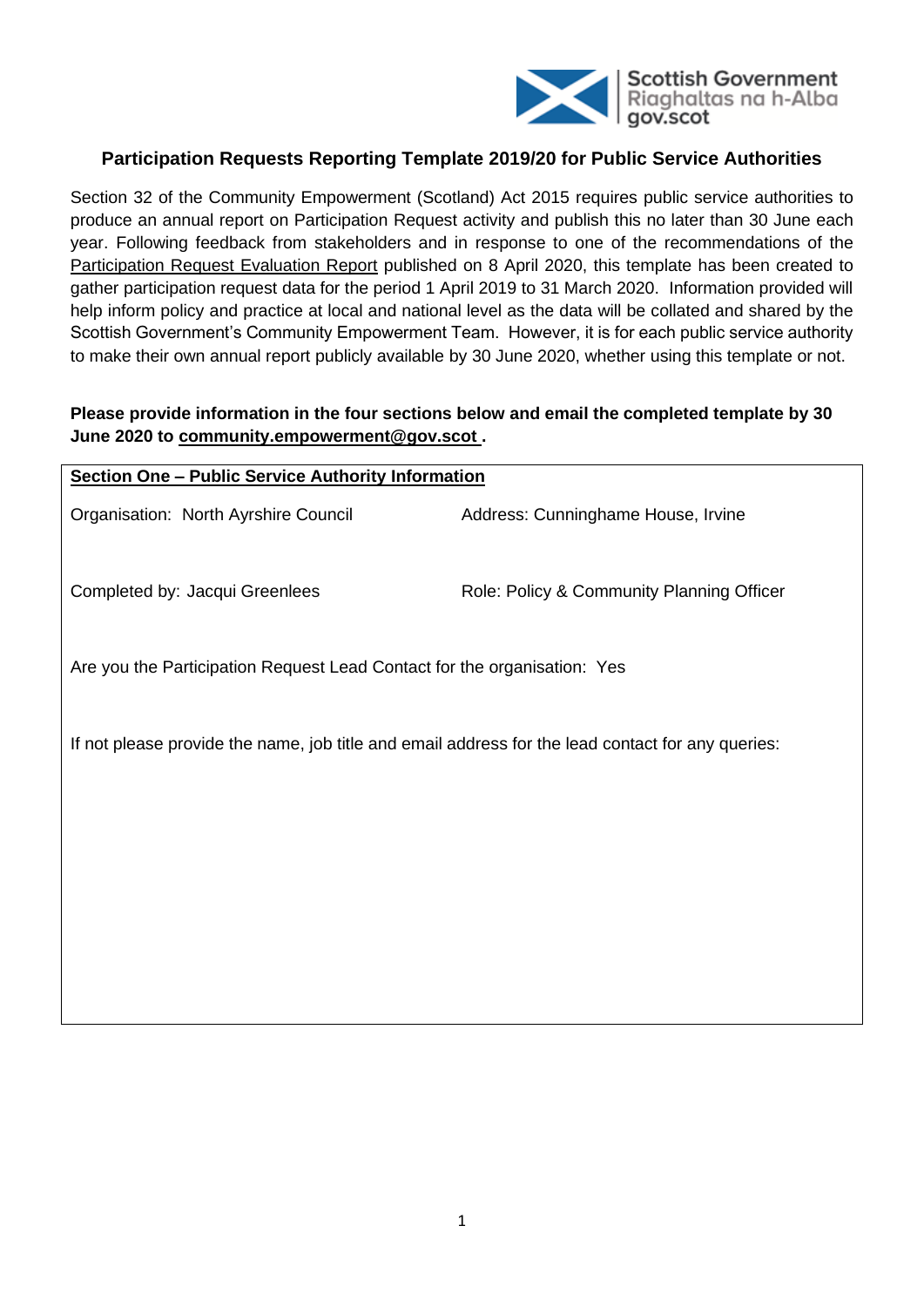

# **Participation Requests Reporting Template 2019/20 for Public Service Authorities**

Section 32 of the Community Empowerment (Scotland) Act 2015 requires public service authorities to produce an annual report on Participation Request activity and publish this no later than 30 June each year. Following feedback from stakeholders and in response to one of the recommendations of the [Participation Request Evaluation Report](https://www.gov.scot/publications/participation-requests-evaluation-part-3-community-empowerment-scotland-act-2015/) published on 8 April 2020, this template has been created to gather participation request data for the period 1 April 2019 to 31 March 2020. Information provided will help inform policy and practice at local and national level as the data will be collated and shared by the Scottish Government's Community Empowerment Team. However, it is for each public service authority to make their own annual report publicly available by 30 June 2020, whether using this template or not.

# **Please provide information in the four sections below and email the completed template by 30 June 2020 to [community.empowerment@gov.scot](mailto:community.empowerment@gov.scot) .**

| <b>Section One - Public Service Authority Information</b>                                         |                                           |  |  |  |
|---------------------------------------------------------------------------------------------------|-------------------------------------------|--|--|--|
| Organisation: North Ayrshire Council                                                              | Address: Cunninghame House, Irvine        |  |  |  |
| Completed by: Jacqui Greenlees                                                                    | Role: Policy & Community Planning Officer |  |  |  |
| Are you the Participation Request Lead Contact for the organisation: Yes                          |                                           |  |  |  |
| If not please provide the name, job title and email address for the lead contact for any queries: |                                           |  |  |  |
|                                                                                                   |                                           |  |  |  |
|                                                                                                   |                                           |  |  |  |
|                                                                                                   |                                           |  |  |  |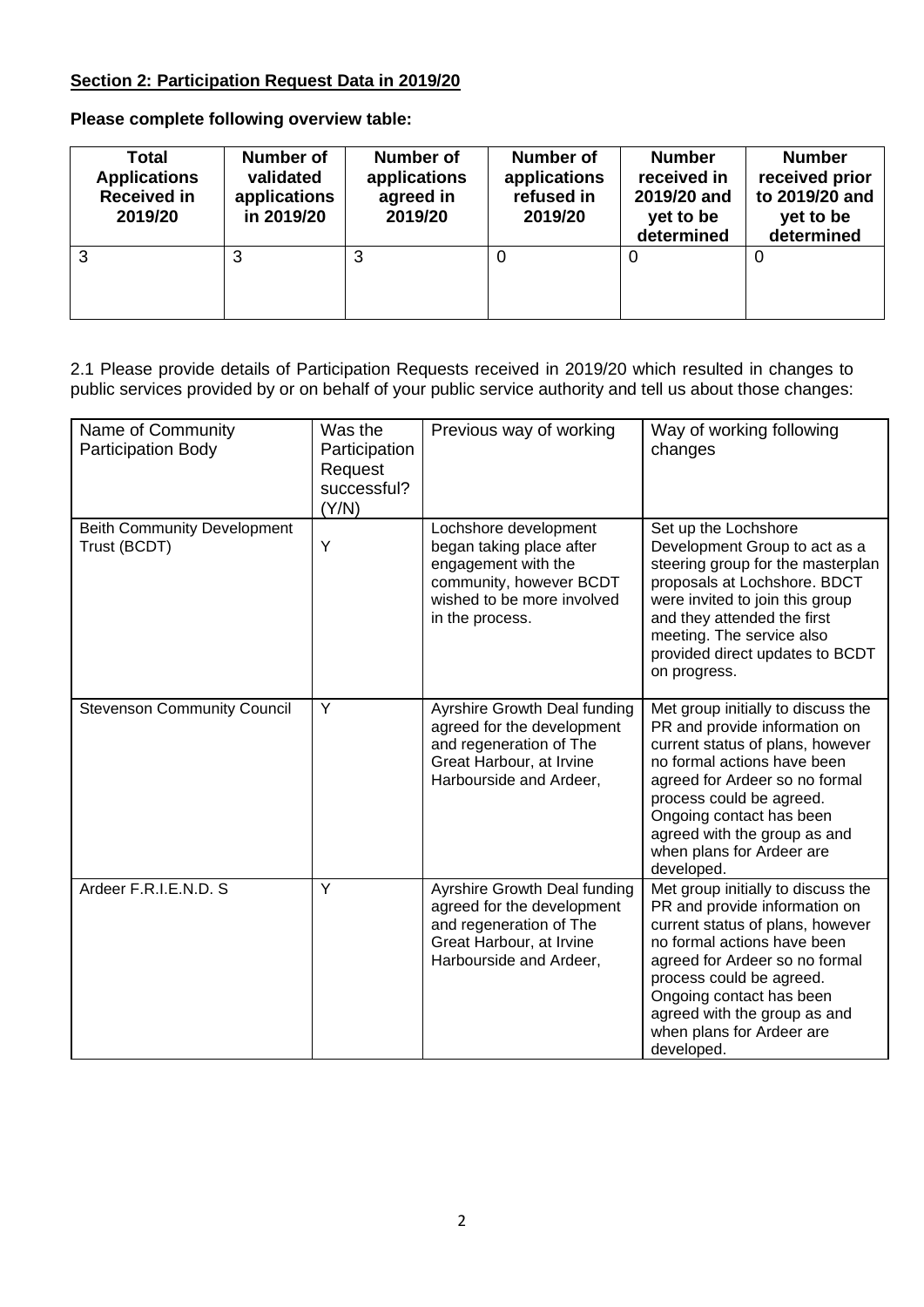# **Section 2: Participation Request Data in 2019/20**

**Please complete following overview table:**

| Total<br><b>Applications</b><br><b>Received in</b><br>2019/20 | Number of<br>validated<br>applications<br>in 2019/20 | <b>Number of</b><br>applications<br>agreed in<br>2019/20 | Number of<br>applications<br>refused in<br>2019/20 | <b>Number</b><br>received in<br>2019/20 and<br>yet to be<br>determined | <b>Number</b><br>received prior<br>to 2019/20 and<br>yet to be<br>determined |
|---------------------------------------------------------------|------------------------------------------------------|----------------------------------------------------------|----------------------------------------------------|------------------------------------------------------------------------|------------------------------------------------------------------------------|
| 3                                                             |                                                      | 3                                                        | O                                                  | 0                                                                      | O                                                                            |

2.1 Please provide details of Participation Requests received in 2019/20 which resulted in changes to public services provided by or on behalf of your public service authority and tell us about those changes:

| Name of Community<br><b>Participation Body</b>     | Was the<br>Participation<br>Request<br>successful?<br>(Y/N) | Previous way of working                                                                                                                              | Way of working following<br>changes                                                                                                                                                                                                                                                                         |
|----------------------------------------------------|-------------------------------------------------------------|------------------------------------------------------------------------------------------------------------------------------------------------------|-------------------------------------------------------------------------------------------------------------------------------------------------------------------------------------------------------------------------------------------------------------------------------------------------------------|
| <b>Beith Community Development</b><br>Trust (BCDT) | Y                                                           | Lochshore development<br>began taking place after<br>engagement with the<br>community, however BCDT<br>wished to be more involved<br>in the process. | Set up the Lochshore<br>Development Group to act as a<br>steering group for the masterplan<br>proposals at Lochshore. BDCT<br>were invited to join this group<br>and they attended the first<br>meeting. The service also<br>provided direct updates to BCDT<br>on progress.                                |
| <b>Stevenson Community Council</b>                 | Y                                                           | Ayrshire Growth Deal funding<br>agreed for the development<br>and regeneration of The<br>Great Harbour, at Irvine<br>Harbourside and Ardeer,         | Met group initially to discuss the<br>PR and provide information on<br>current status of plans, however<br>no formal actions have been<br>agreed for Ardeer so no formal<br>process could be agreed.<br>Ongoing contact has been<br>agreed with the group as and<br>when plans for Ardeer are<br>developed. |
| Ardeer F.R.I.E.N.D. S                              | Y                                                           | Ayrshire Growth Deal funding<br>agreed for the development<br>and regeneration of The<br>Great Harbour, at Irvine<br>Harbourside and Ardeer,         | Met group initially to discuss the<br>PR and provide information on<br>current status of plans, however<br>no formal actions have been<br>agreed for Ardeer so no formal<br>process could be agreed.<br>Ongoing contact has been<br>agreed with the group as and<br>when plans for Ardeer are<br>developed. |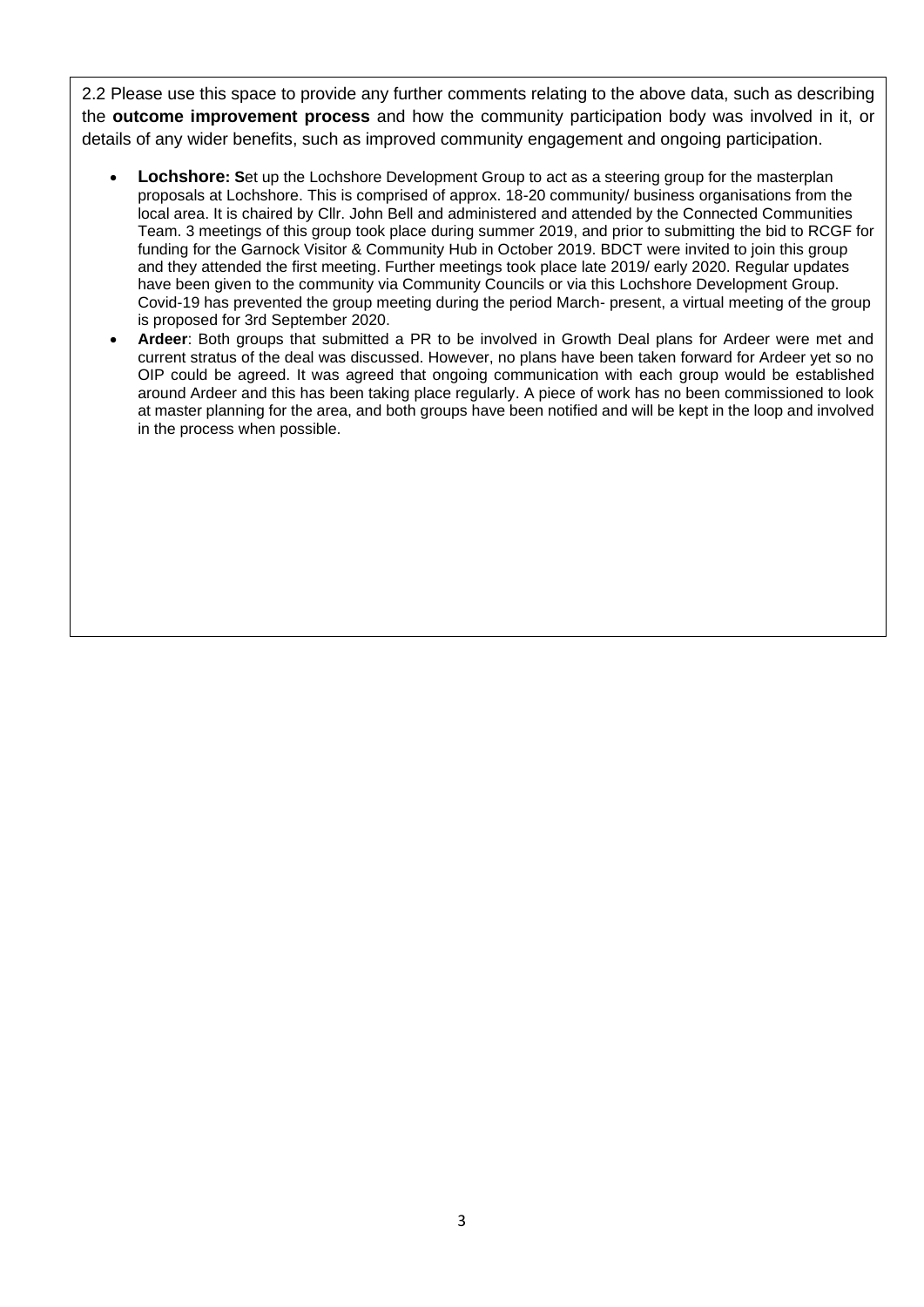2.2 Please use this space to provide any further comments relating to the above data, such as describing the **outcome improvement process** and how the community participation body was involved in it, or details of any wider benefits, such as improved community engagement and ongoing participation.

- **Lochshore:** Set up the Lochshore Development Group to act as a steering group for the masterplan proposals at Lochshore. This is comprised of approx. 18-20 community/ business organisations from the local area. It is chaired by Cllr. John Bell and administered and attended by the Connected Communities Team. 3 meetings of this group took place during summer 2019, and prior to submitting the bid to RCGF for funding for the Garnock Visitor & Community Hub in October 2019. BDCT were invited to join this group and they attended the first meeting. Further meetings took place late 2019/ early 2020. Regular updates have been given to the community via Community Councils or via this Lochshore Development Group. Covid-19 has prevented the group meeting during the period March- present, a virtual meeting of the group is proposed for 3rd September 2020.
- **Ardeer**: Both groups that submitted a PR to be involved in Growth Deal plans for Ardeer were met and current stratus of the deal was discussed. However, no plans have been taken forward for Ardeer yet so no OIP could be agreed. It was agreed that ongoing communication with each group would be established around Ardeer and this has been taking place regularly. A piece of work has no been commissioned to look at master planning for the area, and both groups have been notified and will be kept in the loop and involved in the process when possible.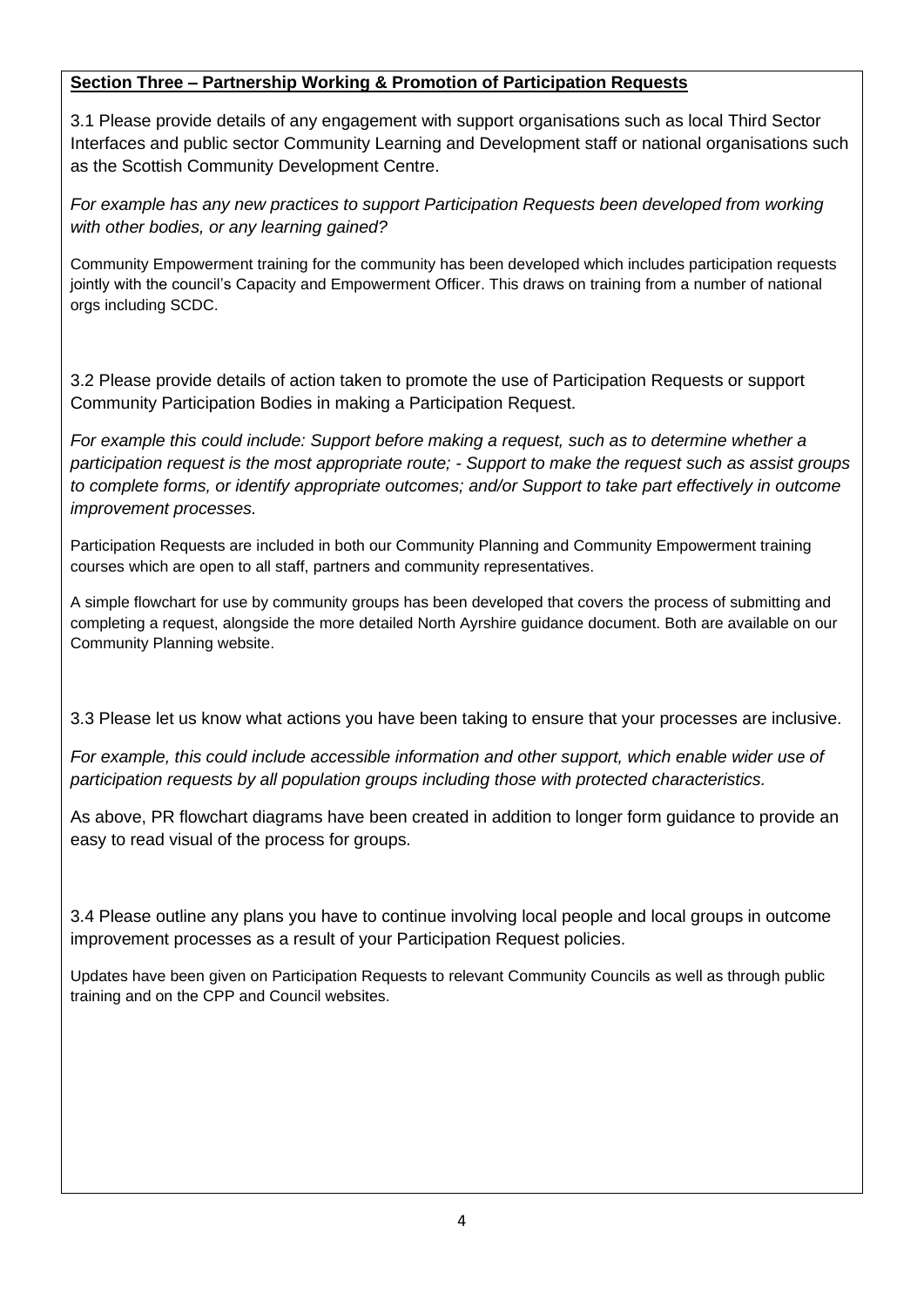# **Section Three – Partnership Working & Promotion of Participation Requests**

3.1 Please provide details of any engagement with support organisations such as local Third Sector Interfaces and public sector Community Learning and Development staff or national organisations such as the Scottish Community Development Centre.

*For example has any new practices to support Participation Requests been developed from working with other bodies, or any learning gained?* 

Community Empowerment training for the community has been developed which includes participation requests jointly with the council's Capacity and Empowerment Officer. This draws on training from a number of national orgs including SCDC.

3.2 Please provide details of action taken to promote the use of Participation Requests or support Community Participation Bodies in making a Participation Request.

*For example this could include: Support before making a request, such as to determine whether a participation request is the most appropriate route; - Support to make the request such as assist groups to complete forms, or identify appropriate outcomes; and/or Support to take part effectively in outcome improvement processes.*

Participation Requests are included in both our Community Planning and Community Empowerment training courses which are open to all staff, partners and community representatives.

A simple flowchart for use by community groups has been developed that covers the process of submitting and completing a request, alongside the more detailed North Ayrshire guidance document. Both are available on our Community Planning website.

3.3 Please let us know what actions you have been taking to ensure that your processes are inclusive.

*For example, this could include accessible information and other support, which enable wider use of participation requests by all population groups including those with protected characteristics.*

As above, PR flowchart diagrams have been created in addition to longer form guidance to provide an easy to read visual of the process for groups.

3.4 Please outline any plans you have to continue involving local people and local groups in outcome improvement processes as a result of your Participation Request policies.

Updates have been given on Participation Requests to relevant Community Councils as well as through public training and on the CPP and Council websites.